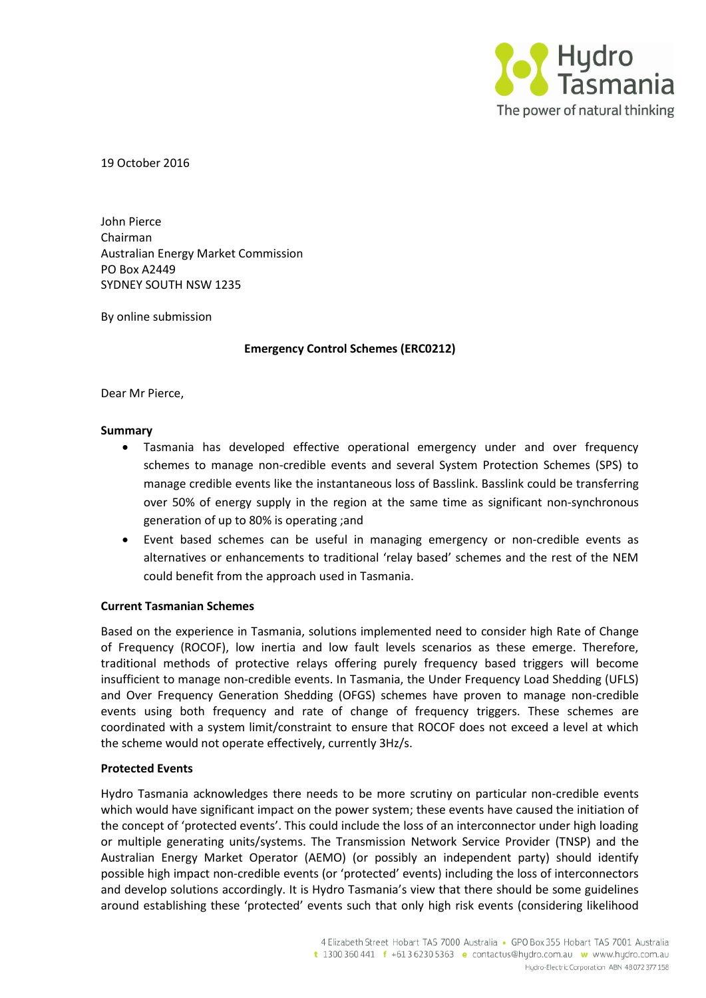

19 October 2016

John Pierce Chairman Australian Energy Market Commission PO Box A2449 SYDNEY SOUTH NSW 1235

By online submission

## **Emergency Control Schemes (ERC0212)**

Dear Mr Pierce,

### **Summary**

- Tasmania has developed effective operational emergency under and over frequency schemes to manage non-credible events and several System Protection Schemes (SPS) to manage credible events like the instantaneous loss of Basslink. Basslink could be transferring over 50% of energy supply in the region at the same time as significant non-synchronous generation of up to 80% is operating ;and
- Event based schemes can be useful in managing emergency or non-credible events as alternatives or enhancements to traditional 'relay based' schemes and the rest of the NEM could benefit from the approach used in Tasmania.

## **Current Tasmanian Schemes**

Based on the experience in Tasmania, solutions implemented need to consider high Rate of Change of Frequency (ROCOF), low inertia and low fault levels scenarios as these emerge. Therefore, traditional methods of protective relays offering purely frequency based triggers will become insufficient to manage non-credible events. In Tasmania, the Under Frequency Load Shedding (UFLS) and Over Frequency Generation Shedding (OFGS) schemes have proven to manage non-credible events using both frequency and rate of change of frequency triggers. These schemes are coordinated with a system limit/constraint to ensure that ROCOF does not exceed a level at which the scheme would not operate effectively, currently 3Hz/s.

## **Protected Events**

Hydro Tasmania acknowledges there needs to be more scrutiny on particular non-credible events which would have significant impact on the power system; these events have caused the initiation of the concept of 'protected events'. This could include the loss of an interconnector under high loading or multiple generating units/systems. The Transmission Network Service Provider (TNSP) and the Australian Energy Market Operator (AEMO) (or possibly an independent party) should identify possible high impact non-credible events (or 'protected' events) including the loss of interconnectors and develop solutions accordingly. It is Hydro Tasmania's view that there should be some guidelines around establishing these 'protected' events such that only high risk events (considering likelihood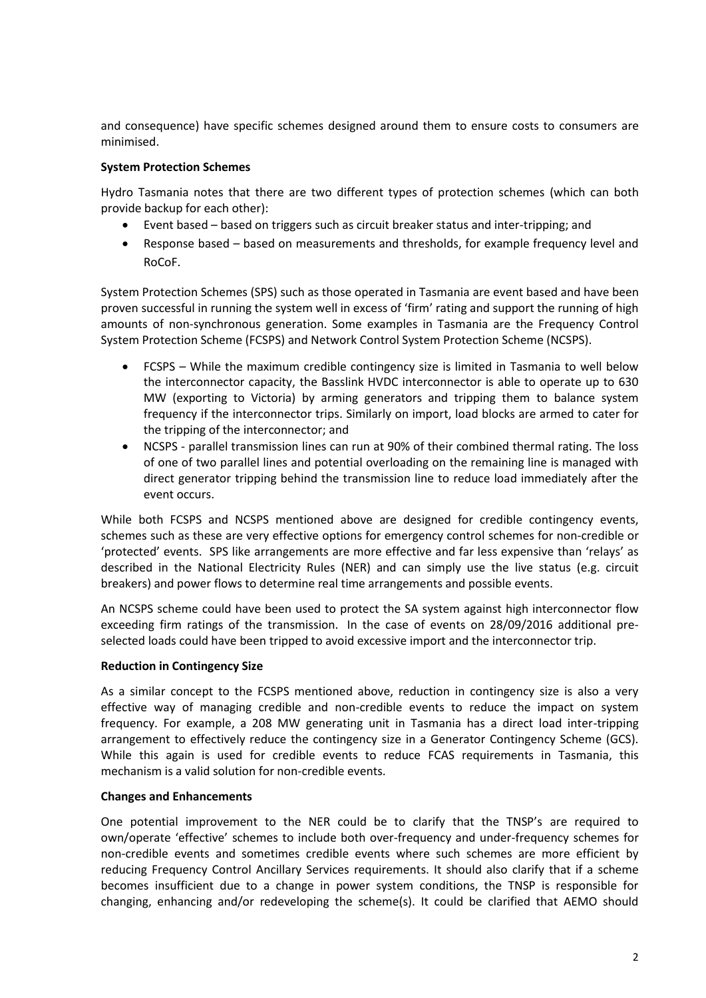and consequence) have specific schemes designed around them to ensure costs to consumers are minimised.

# **System Protection Schemes**

Hydro Tasmania notes that there are two different types of protection schemes (which can both provide backup for each other):

- Event based based on triggers such as circuit breaker status and inter-tripping; and
- Response based based on measurements and thresholds, for example frequency level and RoCoF.

System Protection Schemes (SPS) such as those operated in Tasmania are event based and have been proven successful in running the system well in excess of 'firm' rating and support the running of high amounts of non-synchronous generation. Some examples in Tasmania are the Frequency Control System Protection Scheme (FCSPS) and Network Control System Protection Scheme (NCSPS).

- FCSPS While the maximum credible contingency size is limited in Tasmania to well below the interconnector capacity, the Basslink HVDC interconnector is able to operate up to 630 MW (exporting to Victoria) by arming generators and tripping them to balance system frequency if the interconnector trips. Similarly on import, load blocks are armed to cater for the tripping of the interconnector; and
- NCSPS parallel transmission lines can run at 90% of their combined thermal rating. The loss of one of two parallel lines and potential overloading on the remaining line is managed with direct generator tripping behind the transmission line to reduce load immediately after the event occurs.

While both FCSPS and NCSPS mentioned above are designed for credible contingency events, schemes such as these are very effective options for emergency control schemes for non-credible or 'protected' events. SPS like arrangements are more effective and far less expensive than 'relays' as described in the National Electricity Rules (NER) and can simply use the live status (e.g. circuit breakers) and power flows to determine real time arrangements and possible events.

An NCSPS scheme could have been used to protect the SA system against high interconnector flow exceeding firm ratings of the transmission. In the case of events on 28/09/2016 additional preselected loads could have been tripped to avoid excessive import and the interconnector trip.

## **Reduction in Contingency Size**

As a similar concept to the FCSPS mentioned above, reduction in contingency size is also a very effective way of managing credible and non-credible events to reduce the impact on system frequency. For example, a 208 MW generating unit in Tasmania has a direct load inter-tripping arrangement to effectively reduce the contingency size in a Generator Contingency Scheme (GCS). While this again is used for credible events to reduce FCAS requirements in Tasmania, this mechanism is a valid solution for non-credible events.

## **Changes and Enhancements**

One potential improvement to the NER could be to clarify that the TNSP's are required to own/operate 'effective' schemes to include both over-frequency and under-frequency schemes for non-credible events and sometimes credible events where such schemes are more efficient by reducing Frequency Control Ancillary Services requirements. It should also clarify that if a scheme becomes insufficient due to a change in power system conditions, the TNSP is responsible for changing, enhancing and/or redeveloping the scheme(s). It could be clarified that AEMO should